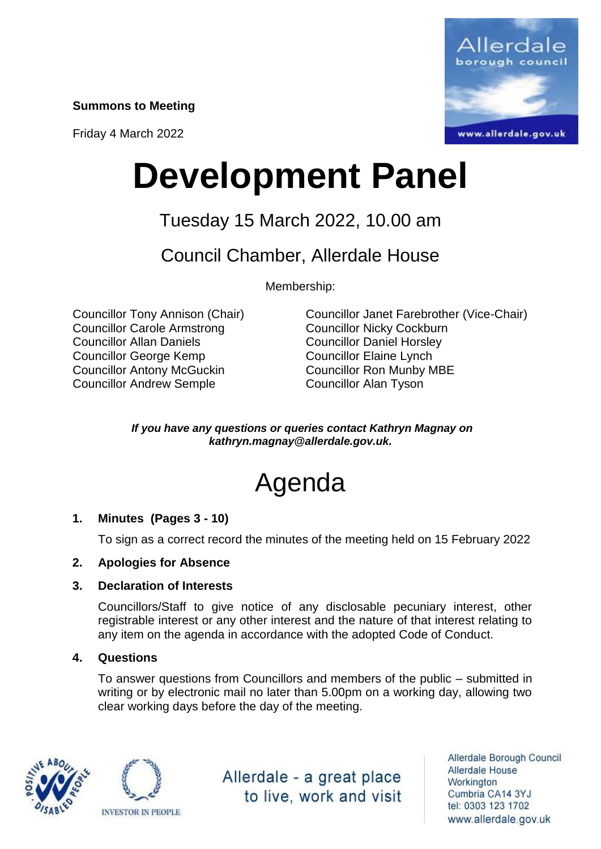**Summons to Meeting**

Friday 4 March 2022



# **Development Panel**

### Tuesday 15 March 2022, 10.00 am

Council Chamber, Allerdale House

Membership:

Councillor Carole Armstrong Councillor Nicky Cockburn Councillor Allan Daniels Councillor Daniel Horsley Councillor George Kemp Councillor Elaine Lynch Councillor Antony McGuckin Councillor Ron Munby MBE Councillor Andrew Semple Councillor Alan Tyson

Councillor Tony Annison (Chair) Councillor Janet Farebrother (Vice-Chair)

*If you have any questions or queries contact Kathryn Magnay on kathryn.magnay@allerdale.gov.uk.*

## Agenda

#### **1. Minutes (Pages 3 - 10)**

To sign as a correct record the minutes of the meeting held on 15 February 2022

#### **2. Apologies for Absence**

#### **3. Declaration of Interests**

Councillors/Staff to give notice of any disclosable pecuniary interest, other registrable interest or any other interest and the nature of that interest relating to any item on the agenda in accordance with the adopted Code of Conduct.

#### **4. Questions**

To answer questions from Councillors and members of the public – submitted in writing or by electronic mail no later than 5.00pm on a working day, allowing two clear working days before the day of the meeting.





Allerdale - a great place to live, work and visit

Allerdale Borough Council Allerdale House Workington Cumbria CA14 3YJ tel: 0303 123 1702 www.allerdale.gov.uk